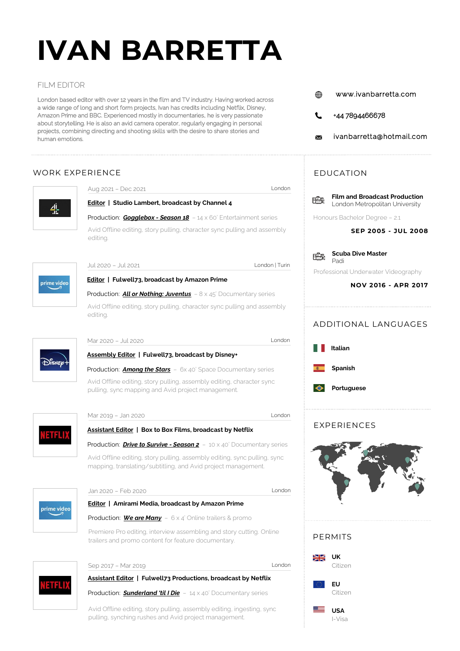# **IVAN BARRETTA**

#### FILM EDITOR

London based editor with over 12 years in the film and TV industry. Having worked across a wide range of long and short form projects, Ivan has credits including Netflix, Disney, Amazon Prime and BBC. Experienced mostly in documentaries, he is very passionate about storytelling. He is also an avid camera operator, regularly engaging in personal projects, combining directing and shooting skills with the desire to share stories and human emotions.

## WORK EXPERIENCE



Production: *Sunderland 'til I Die* - 14 x 40' Documentary series

Avid Offline editing, story pulling, assembly editing, ingesting, sync pulling, synching rushes and Avid project management.

- www.ivanbarretta.com ⋒
- +44 7894466678
- ivanbarretta@hotmail.com

## EDUCATION



**SEP 2005 - JUL 2008**

**Scuba Dive Master** 唔 Padi

Professional Underwater Videography

#### **NOV 2016 - APR 2017**





#### EXPERIENCES







ETH.